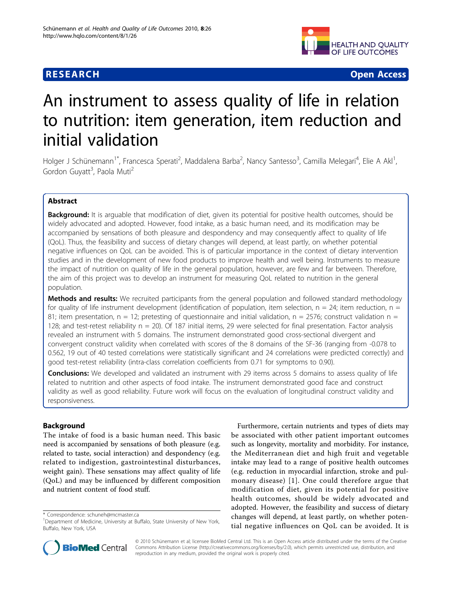# **RESEARCH CONSTRUCTION CONTROL**



# An instrument to assess quality of life in relation to nutrition: item generation, item reduction and initial validation

Holger J Schünemann<sup>1\*</sup>, Francesca Sperati<sup>2</sup>, Maddalena Barba<sup>2</sup>, Nancy Santesso<sup>3</sup>, Camilla Melegari<sup>4</sup>, Elie A Akl<sup>1</sup> , Gordon Guyatt<sup>3</sup>, Paola Muti<sup>2</sup>

# Abstract

**Background:** It is arguable that modification of diet, given its potential for positive health outcomes, should be widely advocated and adopted. However, food intake, as a basic human need, and its modification may be accompanied by sensations of both pleasure and despondency and may consequently affect to quality of life (QoL). Thus, the feasibility and success of dietary changes will depend, at least partly, on whether potential negative influences on QoL can be avoided. This is of particular importance in the context of dietary intervention studies and in the development of new food products to improve health and well being. Instruments to measure the impact of nutrition on quality of life in the general population, however, are few and far between. Therefore, the aim of this project was to develop an instrument for measuring QoL related to nutrition in the general population.

Methods and results: We recruited participants from the general population and followed standard methodology for quality of life instrument development (identification of population, item selection,  $n = 24$ ; item reduction,  $n =$ 81; item presentation,  $n = 12$ ; pretesting of questionnaire and initial validation,  $n = 2576$ ; construct validation  $n =$ 128; and test-retest reliability  $n = 20$ . Of 187 initial items, 29 were selected for final presentation. Factor analysis revealed an instrument with 5 domains. The instrument demonstrated good cross-sectional divergent and convergent construct validity when correlated with scores of the 8 domains of the SF-36 (ranging from -0.078 to 0.562, 19 out of 40 tested correlations were statistically significant and 24 correlations were predicted correctly) and good test-retest reliability (intra-class correlation coefficients from 0.71 for symptoms to 0.90).

**Conclusions:** We developed and validated an instrument with 29 items across 5 domains to assess quality of life related to nutrition and other aspects of food intake. The instrument demonstrated good face and construct validity as well as good reliability. Future work will focus on the evaluation of longitudinal construct validity and responsiveness.

# Background

The intake of food is a basic human need. This basic need is accompanied by sensations of both pleasure (e.g. related to taste, social interaction) and despondency (e.g. related to indigestion, gastrointestinal disturbances, weight gain). These sensations may affect quality of life (QoL) and may be influenced by different composition and nutrient content of food stuff.

Furthermore, certain nutrients and types of diets may be associated with other patient important outcomes such as longevity, mortality and morbidity. For instance, the Mediterranean diet and high fruit and vegetable intake may lead to a range of positive health outcomes (e.g. reduction in myocardial infarction, stroke and pulmonary disease) [[1](#page-11-0)]. One could therefore argue that modification of diet, given its potential for positive health outcomes, should be widely advocated and adopted. However, the feasibility and success of dietary changes will depend, at least partly, on whether potential negative influences on QoL can be avoided. It is



© 2010 Schünemann et al; licensee BioMed Central Ltd. This is an Open Access article distributed under the terms of the Creative Commons Attribution License [\(http://creativecommons.org/licenses/by/2.0](http://creativecommons.org/licenses/by/2.0)), which permits unrestricted use, distribution, and reproduction in any medium, provided the original work is properly cited.

<sup>\*</sup> Correspondence: [schuneh@mcmaster.ca](mailto:schuneh@mcmaster.ca)

<sup>&</sup>lt;sup>1</sup>Department of Medicine, University at Buffalo, State University of New York, Buffalo, New York, USA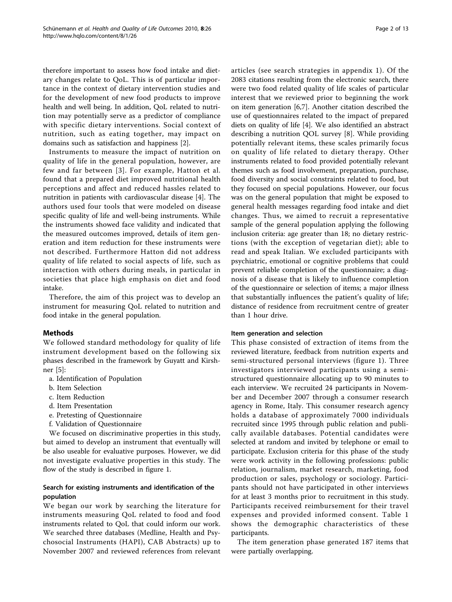therefore important to assess how food intake and dietary changes relate to QoL. This is of particular importance in the context of dietary intervention studies and for the development of new food products to improve health and well being. In addition, QoL related to nutrition may potentially serve as a predictor of compliance with specific dietary interventions. Social context of nutrition, such as eating together, may impact on domains such as satisfaction and happiness [[2\]](#page-11-0).

Instruments to measure the impact of nutrition on quality of life in the general population, however, are few and far between [[3](#page-11-0)]. For example, Hatton et al. found that a prepared diet improved nutritional health perceptions and affect and reduced hassles related to nutrition in patients with cardiovascular disease [[4\]](#page-11-0). The authors used four tools that were modeled on disease specific quality of life and well-being instruments. While the instruments showed face validity and indicated that the measured outcomes improved, details of item generation and item reduction for these instruments were not described. Furthermore Hatton did not address quality of life related to social aspects of life, such as interaction with others during meals, in particular in societies that place high emphasis on diet and food intake.

Therefore, the aim of this project was to develop an instrument for measuring QoL related to nutrition and food intake in the general population.

# Methods

We followed standard methodology for quality of life instrument development based on the following six phases described in the framework by Guyatt and Kirshner [[5](#page-11-0)]:

- a. Identification of Population
- b. Item Selection
- c. Item Reduction
- d. Item Presentation
- e. Pretesting of Questionnaire
- f. Validation of Questionnaire

We focused on discriminative properties in this study, but aimed to develop an instrument that eventually will be also useable for evaluative purposes. However, we did not investigate evaluative properties in this study. The flow of the study is described in figure [1.](#page-2-0)

# Search for existing instruments and identification of the population

We began our work by searching the literature for instruments measuring QoL related to food and food instruments related to QoL that could inform our work. We searched three databases (Medline, Health and Psychosocial Instruments (HAPI), CAB Abstracts) up to November 2007 and reviewed references from relevant articles (see search strategies in appendix 1). Of the 2083 citations resulting from the electronic search, there were two food related quality of life scales of particular interest that we reviewed prior to beginning the work on item generation [[6](#page-11-0),[7\]](#page-11-0). Another citation described the use of questionnaires related to the impact of prepared diets on quality of life [[4\]](#page-11-0). We also identified an abstract describing a nutrition QOL survey [[8\]](#page-11-0). While providing potentially relevant items, these scales primarily focus on quality of life related to dietary therapy. Other instruments related to food provided potentially relevant themes such as food involvement, preparation, purchase, food diversity and social constraints related to food, but they focused on special populations. However, our focus was on the general population that might be exposed to general health messages regarding food intake and diet changes. Thus, we aimed to recruit a representative sample of the general population applying the following inclusion criteria: age greater than 18; no dietary restrictions (with the exception of vegetarian diet); able to read and speak Italian. We excluded participants with psychiatric, emotional or cognitive problems that could prevent reliable completion of the questionnaire; a diagnosis of a disease that is likely to influence completion of the questionnaire or selection of items; a major illness that substantially influences the patient's quality of life; distance of residence from recruitment centre of greater than 1 hour drive.

#### Item generation and selection

This phase consisted of extraction of items from the reviewed literature, feedback from nutrition experts and semi-structured personal interviews (figure [1](#page-2-0)). Three investigators interviewed participants using a semistructured questionnaire allocating up to 90 minutes to each interview. We recruited 24 participants in November and December 2007 through a consumer research agency in Rome, Italy. This consumer research agency holds a database of approximately 7000 individuals recruited since 1995 through public relation and publically available databases. Potential candidates were selected at random and invited by telephone or email to participate. Exclusion criteria for this phase of the study were work activity in the following professions: public relation, journalism, market research, marketing, food production or sales, psychology or sociology. Participants should not have participated in other interviews for at least 3 months prior to recruitment in this study. Participants received reimbursement for their travel expenses and provided informed consent. Table [1](#page-2-0) shows the demographic characteristics of these participants.

The item generation phase generated 187 items that were partially overlapping.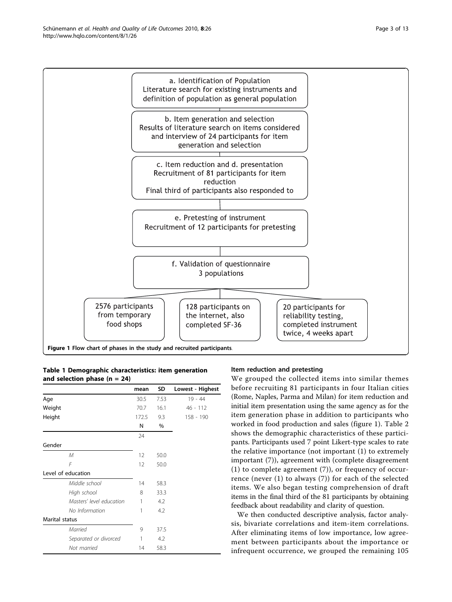Page 3 of 13

<span id="page-2-0"></span>

#### Table 1 Demographic characteristics: item generation and selection phase  $(n = 24)$

|                          | mean  | SD   | Lowest - Highest |
|--------------------------|-------|------|------------------|
| Age                      | 30.5  | 7.53 | $19 - 44$        |
| Weight                   | 70.7  | 16.1 | $46 - 112$       |
| Height                   | 172.5 | 9.3  | 158 - 190        |
|                          | N     | $\%$ |                  |
|                          | 24    |      |                  |
| Gender                   |       |      |                  |
| М                        | 12    | 50.0 |                  |
| F                        | 12    | 50.0 |                  |
| Level of education       |       |      |                  |
| Middle school            | 14    | 58.3 |                  |
| High school              | 8     | 33.3 |                  |
| Masters' level education | 1     | 4.2  |                  |
| No Information           | 1     | 4.2  |                  |
| <b>Marital status</b>    |       |      |                  |
| Married                  | 9     | 37.5 |                  |
| Separated or divorced    | 1     | 4.2  |                  |
| Not married              | 14    | 58.3 |                  |

# Item reduction and pretesting

We grouped the collected items into similar themes before recruiting 81 participants in four Italian cities (Rome, Naples, Parma and Milan) for item reduction and initial item presentation using the same agency as for the item generation phase in addition to participants who worked in food production and sales (figure 1). Table [2](#page-3-0) shows the demographic characteristics of these participants. Participants used 7 point Likert-type scales to rate the relative importance (not important (1) to extremely important (7)), agreement with (complete disagreement (1) to complete agreement (7)), or frequency of occurrence (never (1) to always (7)) for each of the selected items. We also began testing comprehension of draft items in the final third of the 81 participants by obtaining feedback about readability and clarity of question.

We then conducted descriptive analysis, factor analysis, bivariate correlations and item-item correlations. After eliminating items of low importance, low agreement between participants about the importance or infrequent occurrence, we grouped the remaining 105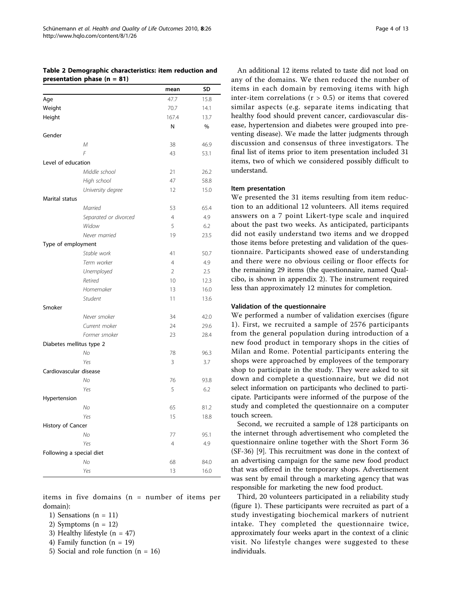<span id="page-3-0"></span>

| Table 2 Demographic characteristics: item reduction and |  |
|---------------------------------------------------------|--|
| presentation phase $(n = 81)$                           |  |

|                    |                          | mean           | SD   |
|--------------------|--------------------------|----------------|------|
| Age                |                          | 47.7           | 15.8 |
| Weight             |                          | 70.7           | 14.1 |
| Height             |                          | 167.4          | 13.7 |
|                    |                          | N              | $\%$ |
| Gender             |                          |                |      |
|                    | М                        | 38             | 46.9 |
|                    | F                        | 43             | 53.1 |
| Level of education |                          |                |      |
|                    | Middle school            | 21             | 26.2 |
|                    | High school              | 47             | 58.8 |
|                    | University degree        | 12             | 15.0 |
| Marital status     |                          |                |      |
|                    | Married                  | 53             | 65.4 |
|                    | Separated or divorced    | $\overline{4}$ | 4.9  |
|                    | Widow                    | 5              | 6.2  |
|                    | Never married            | 19             | 23.5 |
| Type of employment |                          |                |      |
|                    | Stable work              | 41             | 50.7 |
|                    | Term worker              | $\overline{4}$ | 4.9  |
|                    | Unemployed               | $\overline{2}$ | 2.5  |
|                    | Retired                  | 10             | 12.3 |
|                    | Homemaker                | 13             | 16.0 |
|                    | Student                  | 11             | 13.6 |
| Smoker             |                          |                |      |
|                    | Never smoker             | 34             | 42.0 |
|                    | Current moker            | 24             | 29.6 |
|                    | Former smoker            | 23             | 28.4 |
|                    | Diabetes mellitus type 2 |                |      |
|                    | No                       | 78             | 96.3 |
|                    | Yes                      | 3              | 3.7  |
|                    | Cardiovascular disease   |                |      |
|                    | No                       | 76             | 93.8 |
|                    | Yes                      | 5              | 6.2  |
| Hypertension       |                          |                |      |
|                    | No                       | 65             | 81.2 |
|                    | Yes                      | 15             | 18.8 |
| History of Cancer  |                          |                |      |
|                    | No                       | 77             | 95.1 |
|                    | Yes                      | $\overline{4}$ | 4.9  |
|                    | Following a special diet |                |      |
|                    | No                       | 68             | 84.0 |
|                    | Yes                      | 13             | 16.0 |

items in five domains (n = number of items per domain):

- 1) Sensations ( $n = 11$ )
- 2) Symptoms  $(n = 12)$
- 3) Healthy lifestyle  $(n = 47)$
- 4) Family function (n = 19)
- 5) Social and role function (n = 16)

An additional 12 items related to taste did not load on any of the domains. We then reduced the number of items in each domain by removing items with high inter-item correlations ( $r > 0.5$ ) or items that covered similar aspects (e.g. separate items indicating that healthy food should prevent cancer, cardiovascular disease, hypertension and diabetes were grouped into preventing disease). We made the latter judgments through discussion and consensus of three investigators. The final list of items prior to item presentation included 31 items, two of which we considered possibly difficult to understand.

#### Item presentation

We presented the 31 items resulting from item reduction to an additional 12 volunteers. All items required answers on a 7 point Likert-type scale and inquired about the past two weeks. As anticipated, participants did not easily understand two items and we dropped those items before pretesting and validation of the questionnaire. Participants showed ease of understanding and there were no obvious ceiling or floor effects for the remaining 29 items (the questionnaire, named Qualcibo, is shown in appendix 2). The instrument required less than approximately 12 minutes for completion.

# Validation of the questionnaire

We performed a number of validation exercises (figure [1](#page-2-0)). First, we recruited a sample of 2576 participants from the general population during introduction of a new food product in temporary shops in the cities of Milan and Rome. Potential participants entering the shops were approached by employees of the temporary shop to participate in the study. They were asked to sit down and complete a questionnaire, but we did not select information on participants who declined to participate. Participants were informed of the purpose of the study and completed the questionnaire on a computer touch screen.

Second, we recruited a sample of 128 participants on the internet through advertisement who completed the questionnaire online together with the Short Form 36 (SF-36) [\[9\]](#page-12-0). This recruitment was done in the context of an advertising campaign for the same new food product that was offered in the temporary shops. Advertisement was sent by email through a marketing agency that was responsible for marketing the new food product.

Third, 20 volunteers participated in a reliability study (figure [1\)](#page-2-0). These participants were recruited as part of a study investigating biochemical markers of nutrient intake. They completed the questionnaire twice, approximately four weeks apart in the context of a clinic visit. No lifestyle changes were suggested to these individuals.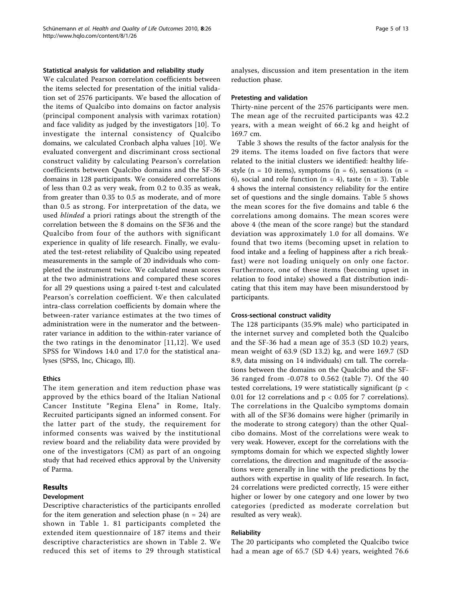#### Statistical analysis for validation and reliability study

We calculated Pearson correlation coefficients between the items selected for presentation of the initial validation set of 2576 participants. We based the allocation of the items of Qualcibo into domains on factor analysis (principal component analysis with varimax rotation) and face validity as judged by the investigators [[10\]](#page-12-0). To investigate the internal consistency of Qualcibo domains, we calculated Cronbach alpha values [[10](#page-12-0)]. We evaluated convergent and discriminant cross sectional construct validity by calculating Pearson's correlation coefficients between Qualcibo domains and the SF-36 domains in 128 participants. We considered correlations of less than 0.2 as very weak, from 0.2 to 0.35 as weak, from greater than 0.35 to 0.5 as moderate, and of more than 0.5 as strong. For interpretation of the data, we used *blinded* a priori ratings about the strength of the correlation between the 8 domains on the SF36 and the Qualcibo from four of the authors with significant experience in quality of life research. Finally, we evaluated the test-retest reliability of Qualcibo using repeated measurements in the sample of 20 individuals who completed the instrument twice. We calculated mean scores at the two administrations and compared these scores for all 29 questions using a paired t-test and calculated Pearson's correlation coefficient. We then calculated intra-class correlation coefficients by domain where the between-rater variance estimates at the two times of administration were in the numerator and the betweenrater variance in addition to the within-rater variance of the two ratings in the denominator [[11,12\]](#page-12-0). We used SPSS for Windows 14.0 and 17.0 for the statistical analyses (SPSS, Inc, Chicago, Ill).

#### Ethics

The item generation and item reduction phase was approved by the ethics board of the Italian National Cancer Institute "Regina Elena" in Rome, Italy. Recruited participants signed an informed consent. For the latter part of the study, the requirement for informed consents was waived by the institutional review board and the reliability data were provided by one of the investigators (CM) as part of an ongoing study that had received ethics approval by the University of Parma.

#### Results

#### Development

Descriptive characteristics of the participants enrolled for the item generation and selection phase  $(n = 24)$  are shown in Table [1](#page-2-0). 81 participants completed the extended item questionnaire of 187 items and their descriptive characteristics are shown in Table [2.](#page-3-0) We reduced this set of items to 29 through statistical analyses, discussion and item presentation in the item reduction phase.

#### Pretesting and validation

Thirty-nine percent of the 2576 participants were men. The mean age of the recruited participants was 42.2 years, with a mean weight of 66.2 kg and height of 169.7 cm.

Table [3](#page-5-0) shows the results of the factor analysis for the 29 items. The items loaded on five factors that were related to the initial clusters we identified: healthy lifestyle (n = 10 items), symptoms (n = 6), sensations (n = 6), social and role function ( $n = 4$ ), taste ( $n = 3$ ). Table [4](#page-5-0) shows the internal consistency reliability for the entire set of questions and the single domains. Table [5](#page-5-0) shows the mean scores for the five domains and table [6](#page-6-0) the correlations among domains. The mean scores were above 4 (the mean of the score range) but the standard deviation was approximately 1.0 for all domains. We found that two items (becoming upset in relation to food intake and a feeling of happiness after a rich breakfast) were not loading uniquely on only one factor. Furthermore, one of these items (becoming upset in relation to food intake) showed a flat distribution indicating that this item may have been misunderstood by participants.

#### Cross-sectional construct validity

The 128 participants (35.9% male) who participated in the internet survey and completed both the Qualcibo and the SF-36 had a mean age of 35.3 (SD 10.2) years, mean weight of 63.9 (SD 13.2) kg, and were 169.7 (SD 8.9, data missing on 14 individuals) cm tall. The correlations between the domains on the Qualcibo and the SF-36 ranged from -0.078 to 0.562 (table [7](#page-6-0)). Of the 40 tested correlations, 19 were statistically significant ( $p <$ 0.01 for 12 correlations and  $p < 0.05$  for 7 correlations). The correlations in the Qualcibo symptoms domain with all of the SF36 domains were higher (primarily in the moderate to strong category) than the other Qualcibo domains. Most of the correlations were weak to very weak. However, except for the correlations with the symptoms domain for which we expected slightly lower correlations, the direction and magnitude of the associations were generally in line with the predictions by the authors with expertise in quality of life research. In fact, 24 correlations were predicted correctly, 15 were either higher or lower by one category and one lower by two categories (predicted as moderate correlation but resulted as very weak).

#### **Reliability**

The 20 participants who completed the Qualcibo twice had a mean age of 65.7 (SD 4.4) years, weighted 76.6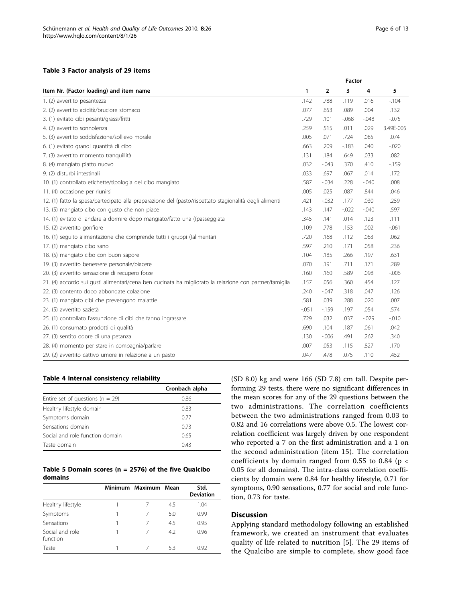#### <span id="page-5-0"></span>Table 3 Factor analysis of 29 items

|                                                                                                        |          |                | Factor                  |          |           |
|--------------------------------------------------------------------------------------------------------|----------|----------------|-------------------------|----------|-----------|
| Item Nr. (Factor loading) and item name                                                                | 1        | $\overline{2}$ | $\overline{\mathbf{3}}$ | 4        | 5         |
| 1. (2) avvertito pesantezza                                                                            | .142     | .788           | .119                    | .016     | $-104$    |
| 2. (2) avvertito acidità/bruciore stomaco                                                              | .077     | .653           | .089                    | .004     | .132      |
| 3. (1) evitato cibi pesanti/grassi/fritti                                                              | .729     | .101           | $-068$                  | $-0.048$ | $-0.075$  |
| 4. (2) avvertito sonnolenza                                                                            | .259     | .515           | .011                    | .029     | 3.49E-005 |
| 5. (3) avvertito soddisfazione/sollievo morale                                                         | .005     | .071           | .724                    | .085     | .074      |
| 6. (1) evitato grandi quantità di cibo                                                                 | .663     | .209           | $-183$                  | .040     | $-0.020$  |
| 7. (3) avvertito momento tranquillità                                                                  | .131     | .184           | .649                    | .033     | .082      |
| 8. (4) mangiato piatto nuovo                                                                           | .032     | $-0.043$       | .370                    | .410     | $-159$    |
| 9. (2) disturbi intestinali                                                                            | .033     | .697           | .067                    | .014     | .172      |
| 10. (1) controllato etichette/tipologia del cibo mangiato                                              | .587     | $-0.034$       | .228                    | $-0.040$ | .008      |
| 11. (4) occasione per riunirsi                                                                         | .005     | .025           | .087                    | .844     | .046      |
| 12. (1) fatto la spesa/partecipato alla preparazione del (pasto/rispettato stagionalità degli alimenti | .421     | $-0.032$       | .177                    | .030     | .259      |
| 13. (5) mangiato cibo con gusto che non piace                                                          | .143     | .147           | $-0.022$                | $-0.040$ | .597      |
| 14. (1) evitato di andare a dormire dopo mangiato/fatto una ((passeggiata                              | .345     | .141           | .014                    | .123     | .111      |
| 15. (2) avvertito gonfiore                                                                             | .109     | .778           | .153                    | .002     | $-.061$   |
| 16. (1) seguito alimentazione che comprende tutti i gruppi ()alimentari                                | .720     | .168           | .112                    | .063     | .062      |
| 17. (1) mangiato cibo sano                                                                             | .597     | .210           | .171                    | .058     | .236      |
| 18. (5) mangiato cibo con buon sapore                                                                  | .104     | .185           | .266                    | .197     | .631      |
| 19. (3) avvertito benessere personale/piacere                                                          | .070     | .191           | .711                    | .171     | .289      |
| 20. (3) avvertito sensazione di recupero forze                                                         | .160     | .160           | .589                    | .098     | $-0.006$  |
| 21. (4) accordo sui qusti alimentari/cena ben cucinata ha migliorato la relazione con partner/famiglia | .157     | .056           | .360                    | .454     | .127      |
| 22. (3) contento dopo abbondate colazione                                                              | .240     | $-.047$        | .318                    | .047     | .126      |
| 23. (1) mangiato cibi che prevengono malattie                                                          | .581     | .039           | .288                    | .020     | .007      |
| 24. (5) avvertito sazietà                                                                              | $-0.051$ | $-159$         | .197                    | .054     | .574      |
| 25. (1) controllato l'assunzione di cibi che fanno ingrassare                                          | .729     | .032           | .037                    | $-0.029$ | $-0.010$  |
| 26. (1) consumato prodotti di qualità                                                                  | .690     | .104           | .187                    | .061     | .042      |
| 27. (3) sentito odore di una petanza                                                                   | .130     | $-0.006$       | .491                    | .262     | .340      |
| 28. (4) momento per stare in compagnia/parlare                                                         | .007     | .053           | .115                    | .827     | .170      |
| 29. (2) avvertito cattivo umore in relazione a un pasto                                                | .047     | .478           | .075                    | .110     | .452      |

#### Table 4 Internal consistency reliability

|                                      | Cronbach alpha |
|--------------------------------------|----------------|
| Entire set of questions ( $n = 29$ ) | 0.86           |
| Healthy lifestyle domain             | 0.83           |
| Symptoms domain                      | 0.77           |
| Sensations domain                    | 0.73           |
| Social and role function domain      | 0.65           |
| Taste domain                         | 0.43           |

#### Table 5 Domain scores ( $n = 2576$ ) of the five Qualcibo domains

|                             | Minimum Maximum Mean |     | Std.<br><b>Deviation</b> |
|-----------------------------|----------------------|-----|--------------------------|
| Healthy lifestyle           |                      | 4.5 | 1.04                     |
| Symptoms                    |                      | 5.0 | 0.99                     |
| Sensations                  | 7                    | 4.5 | 0.95                     |
| Social and role<br>function | 7                    | 4.2 | 0.96                     |
| Taste                       |                      | 53  | 0.92                     |

(SD 8.0) kg and were 166 (SD 7.8) cm tall. Despite performing 29 tests, there were no significant differences in the mean scores for any of the 29 questions between the two administrations. The correlation coefficients between the two administrations ranged from 0.03 to 0.82 and 16 correlations were above 0.5. The lowest correlation coefficient was largely driven by one respondent who reported a 7 on the first administration and a 1 on the second administration (item 15). The correlation coefficients by domain ranged from 0.55 to 0.84 ( $p <$ 0.05 for all domains). The intra-class correlation coefficients by domain were 0.84 for healthy lifestyle, 0.71 for symptoms, 0.90 sensations, 0.77 for social and role function, 0.73 for taste.

#### **Discussion**

Applying standard methodology following an established framework, we created an instrument that evaluates quality of life related to nutrition [[5\]](#page-11-0). The 29 items of the Qualcibo are simple to complete, show good face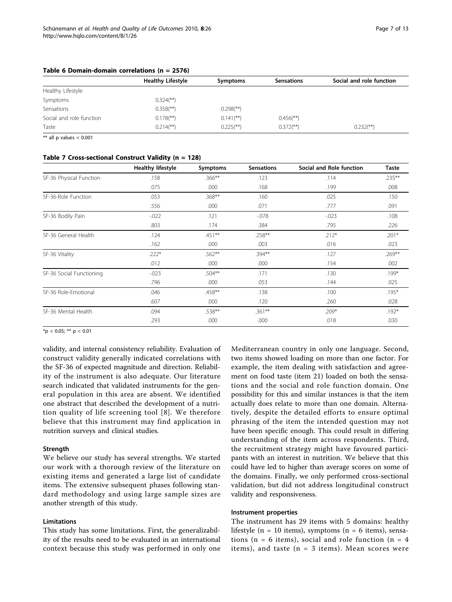|                          | <b>Healthy Lifestyle</b>  | <b>Symptoms</b>           | <b>Sensations</b>       | Social and role function  |
|--------------------------|---------------------------|---------------------------|-------------------------|---------------------------|
| Healthy Lifestyle        |                           |                           |                         |                           |
| Symptoms                 | $0.324$ <sup>(**)</sup> ) |                           |                         |                           |
| Sensations               | $0.358$ <sup>(**)</sup> ) | $0.298$ <sup>**</sup> )   |                         |                           |
| Social and role function | $0.178$ <sup>**</sup> )   | $0.141$ <sup>**</sup> )   | $0.456$ <sup>**</sup> ) |                           |
| Taste                    | $0.214$ <sup>**</sup> )   | $0.225$ <sup>(**)</sup> ) | $0.372$ <sup>**</sup> ) | $0.232$ <sup>(**)</sup> ) |

<span id="page-6-0"></span>

 $**$  all p values < 0.001

#### Table 7 Cross-sectional Construct Validity (n = 128)

|                          | <b>Healthy lifestyle</b> | <b>Symptoms</b> | <b>Sensations</b> | Social and Role function | <b>Taste</b> |
|--------------------------|--------------------------|-----------------|-------------------|--------------------------|--------------|
| SF-36 Physical Function  | .158                     | $.366***$       | .123              | .114                     | $.235***$    |
|                          | .075                     | .000            | .168              | .199                     | .008         |
| SF-36-Role Function      | .053                     | $.368***$       | .160              | .025                     | .150         |
|                          | .556                     | .000            | .071              | .777                     | .091         |
| SF-36 Bodily Pain        | $-0.022$                 | .121            | $-0.078$          | $-0.023$                 | .108         |
|                          | .803                     | .174            | .384              | .795                     | .226         |
| SF-36 General Health     | .124                     | $.451***$       | .258**            | $.212*$                  | $.201*$      |
|                          | .162                     | .000            | .003              | .016                     | .023         |
| SF-36 Vitality           | $.222*$                  | $.562***$       | $.394***$         | .127                     | $.269***$    |
|                          | .012                     | .000            | .000              | .154                     | .002         |
| SF-36 Social Functioning | $-0.023$                 | $.504***$       | .171              | .130                     | $.199*$      |
|                          | .796                     | .000            | .053              | .144                     | .025         |
| SF-36 Role-Emotional     | .046                     | .458**          | .138              | .100                     | $.195*$      |
|                          | .607                     | .000            | .120              | .260                     | .028         |
| SF-36 Mental Health      | .094                     | $.538***$       | $.361***$         | $.209*$                  | $.192*$      |
|                          | .293                     | .000            | .000              | .018                     | .030         |

 $*$ p < 0.05; \*\* p < 0.01

validity, and internal consistency reliability. Evaluation of construct validity generally indicated correlations with the SF-36 of expected magnitude and direction. Reliability of the instrument is also adequate. Our literature search indicated that validated instruments for the general population in this area are absent. We identified one abstract that described the development of a nutrition quality of life screening tool [[8\]](#page-11-0). We therefore believe that this instrument may find application in nutrition surveys and clinical studies.

#### Strength

We believe our study has several strengths. We started our work with a thorough review of the literature on existing items and generated a large list of candidate items. The extensive subsequent phases following standard methodology and using large sample sizes are another strength of this study.

# Limitations

This study has some limitations. First, the generalizability of the results need to be evaluated in an international context because this study was performed in only one Mediterranean country in only one language. Second, two items showed loading on more than one factor. For example, the item dealing with satisfaction and agreement on food taste (item 21) loaded on both the sensations and the social and role function domain. One possibility for this and similar instances is that the item actually does relate to more than one domain. Alternatively, despite the detailed efforts to ensure optimal phrasing of the item the intended question may not have been specific enough. This could result in differing understanding of the item across respondents. Third, the recruitment strategy might have favoured participants with an interest in nutrition. We believe that this could have led to higher than average scores on some of the domains. Finally, we only performed cross-sectional validation, but did not address longitudinal construct validity and responsiveness.

#### Instrument properties

The instrument has 29 items with 5 domains: healthy lifestyle ( $n = 10$  items), symptoms ( $n = 6$  items), sensations (n = 6 items), social and role function (n = 4 items), and taste ( $n = 3$  items). Mean scores were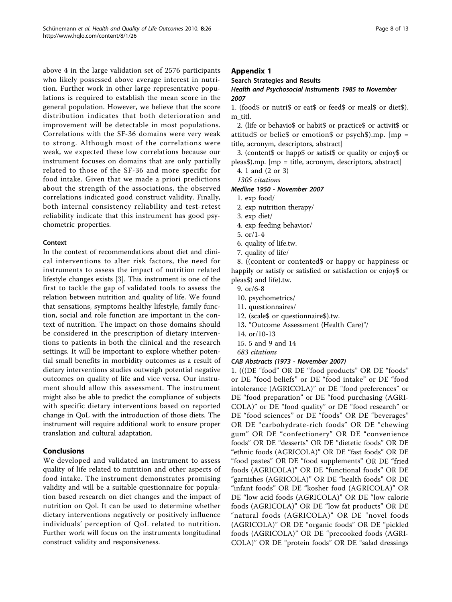above 4 in the large validation set of 2576 participants who likely possessed above average interest in nutrition. Further work in other large representative populations is required to establish the mean score in the general population. However, we believe that the score distribution indicates that both deterioration and improvement will be detectable in most populations. Correlations with the SF-36 domains were very weak to strong. Although most of the correlations were weak, we expected these low correlations because our instrument focuses on domains that are only partially related to those of the SF-36 and more specific for food intake. Given that we made a priori predictions about the strength of the associations, the observed correlations indicated good construct validity. Finally, both internal consistency reliability and test-retest reliability indicate that this instrument has good psychometric properties.

# Context

In the context of recommendations about diet and clinical interventions to alter risk factors, the need for instruments to assess the impact of nutrition related lifestyle changes exists [\[3](#page-11-0)]. This instrument is one of the first to tackle the gap of validated tools to assess the relation between nutrition and quality of life. We found that sensations, symptoms healthy lifestyle, family function, social and role function are important in the context of nutrition. The impact on those domains should be considered in the prescription of dietary interventions to patients in both the clinical and the research settings. It will be important to explore whether potential small benefits in morbidity outcomes as a result of dietary interventions studies outweigh potential negative outcomes on quality of life and vice versa. Our instrument should allow this assessment. The instrument might also be able to predict the compliance of subjects with specific dietary interventions based on reported change in QoL with the introduction of those diets. The instrument will require additional work to ensure proper translation and cultural adaptation.

# Conclusions

We developed and validated an instrument to assess quality of life related to nutrition and other aspects of food intake. The instrument demonstrates promising validity and will be a suitable questionnaire for population based research on diet changes and the impact of nutrition on Qol. It can be used to determine whether dietary interventions negatively or positively influence individuals' perception of QoL related to nutrition. Further work will focus on the instruments longitudinal construct validity and responsiveness.

#### Page 8 of 13

#### Appendix 1

#### Search Strategies and Results

Health and Psychosocial Instruments 1985 to November 2007

1. (food\$ or nutri\$ or eat\$ or feed\$ or meal\$ or diet\$). m\_titl.

2. (life or behavio\$ or habit\$ or practice\$ or activit\$ or attitud\$ or belie\$ or emotion\$ or psych\$).mp.  $[mp =$ title, acronym, descriptors, abstract]

3. (content\$ or happ\$ or satisf\$ or quality or enjoy\$ or pleas\$).mp. [mp = title, acronym, descriptors, abstract]

4. 1 and (2 or 3)

1305 citations

# Medline 1950 - November 2007

- 1. exp food/
- 2. exp nutrition therapy/
- 3. exp diet/
- 4. exp feeding behavior/
- 5. or/1-4
- 6. quality of life.tw.
- 7. quality of life/

8. ((content or contented\$ or happy or happiness or happily or satisfy or satisfied or satisfaction or enjoy\$ or pleas\$) and life).tw.

- 9. or/6-8
- 10. psychometrics/
- 11. questionnaires/
- 12. (scale\$ or questionnaire\$).tw.
- 13. "Outcome Assessment (Health Care)"/
- 14. or/10-13
- 15. 5 and 9 and 14
- 683 citations

#### CAB Abstracts (1973 - November 2007)

1. (((DE "food" OR DE "food products" OR DE "foods" or DE "food beliefs" or DE "food intake" or DE "food intolerance (AGRICOLA)" or DE "food preferences" or DE "food preparation" or DE "food purchasing (AGRI-COLA)" or DE "food quality" or DE "food research" or DE "food sciences" or DE "foods" OR DE "beverages" OR DE "carbohydrate-rich foods" OR DE "chewing gum" OR DE "confectionery" OR DE "convenience foods" OR DE "desserts" OR DE "dietetic foods" OR DE "ethnic foods (AGRICOLA)" OR DE "fast foods" OR DE "food pastes" OR DE "food supplements" OR DE "fried foods (AGRICOLA)" OR DE "functional foods" OR DE "garnishes (AGRICOLA)" OR DE "health foods" OR DE "infant foods" OR DE "kosher food (AGRICOLA)" OR DE "low acid foods (AGRICOLA)" OR DE "low calorie foods (AGRICOLA)" OR DE "low fat products" OR DE "natural foods (AGRICOLA)" OR DE "novel foods (AGRICOLA)" OR DE "organic foods" OR DE "pickled foods (AGRICOLA)" OR DE "precooked foods (AGRI-COLA)" OR DE "protein foods" OR DE "salad dressings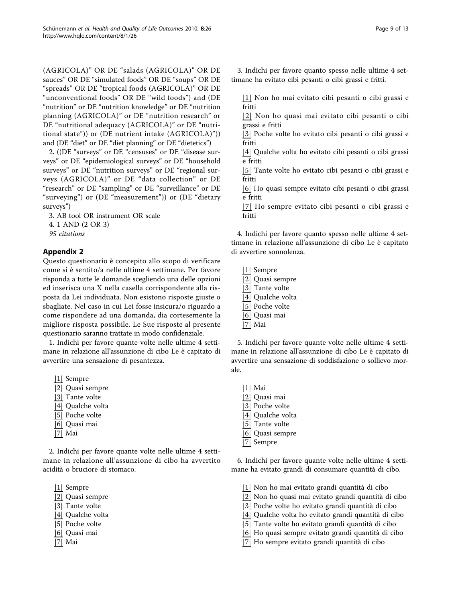(AGRICOLA)" OR DE "salads (AGRICOLA)" OR DE sauces" OR DE "simulated foods" OR DE "soups" OR DE "spreads" OR DE "tropical foods (AGRICOLA)" OR DE "unconventional foods" OR DE "wild foods") and (DE "nutrition" or DE "nutrition knowledge" or DE "nutrition planning (AGRICOLA)" or DE "nutrition research" or DE "nutritional adequacy (AGRICOLA)" or DE "nutritional state")) or (DE nutrient intake (AGRICOLA)")) and (DE "diet" or DE "diet planning" or DE "dietetics")

2. ((DE "surveys" or DE "censuses" or DE "disease surveys" or DE "epidemiological surveys" or DE "household surveys" or DE "nutrition surveys" or DE "regional surveys (AGRICOLA)" or DE "data collection" or DE "research" or DE "sampling" or DE "surveillance" or DE "surveying") or (DE "measurement")) or (DE "dietary surveys")

3. AB tool OR instrument OR scale 4. 1 AND (2 OR 3) 95 citations

# Appendix 2

Questo questionario è concepito allo scopo di verificare come si è sentito/a nelle ultime 4 settimane. Per favore risponda a tutte le domande scegliendo una delle opzioni ed inserisca una X nella casella corrispondente alla risposta da Lei individuata. Non esistono risposte giuste o sbagliate. Nel caso in cui Lei fosse insicura/o riguardo a come rispondere ad una domanda, dia cortesemente la migliore risposta possibile. Le Sue risposte al presente questionario saranno trattate in modo confidenziale.

1. Indichi per favore quante volte nelle ultime 4 settimane in relazione all'assunzione di cibo Le è capitato di avvertire una sensazione di pesantezza.

- |1| Sempre
- |2| Quasi sempre
- |3| Tante volte
- |4| Qualche volta
- |5| Poche volte
- |6| Quasi mai
- |7| Mai

2. Indichi per favore quante volte nelle ultime 4 settimane in relazione all'assunzione di cibo ha avvertito acidità o bruciore di stomaco.

| 11 Sempre |
|-----------|
|-----------|

- |2| Quasi sempre
- |3| Tante volte
- |4| Qualche volta
- |5| Poche volte
- |6| Quasi mai
- |7| Mai

3. Indichi per favore quanto spesso nelle ultime 4 settimane ha evitato cibi pesanti o cibi grassi e fritti.

|1| Non ho mai evitato cibi pesanti o cibi grassi e fritti

|2| Non ho quasi mai evitato cibi pesanti o cibi grassi e fritti

|3| Poche volte ho evitato cibi pesanti o cibi grassi e fritti

|4| Qualche volta ho evitato cibi pesanti o cibi grassi e fritti

|5| Tante volte ho evitato cibi pesanti o cibi grassi e fritti

|6| Ho quasi sempre evitato cibi pesanti o cibi grassi e fritti

|7| Ho sempre evitato cibi pesanti o cibi grassi e fritti

4. Indichi per favore quanto spesso nelle ultime 4 settimane in relazione all'assunzione di cibo Le è capitato di avvertire sonnolenza.

- |1| Sempre |2| Quasi sempre |3| Tante volte |4| Qualche volta |5| Poche volte |6| Quasi mai
- |7| Mai

5. Indichi per favore quante volte nelle ultime 4 settimane in relazione all'assunzione di cibo Le è capitato di avvertire una sensazione di soddisfazione o sollievo morale.

|1| Mai |2| Quasi mai |3| Poche volte |4| Qualche volta |5| Tante volte |6| Quasi sempre |7| Sempre

6. Indichi per favore quante volte nelle ultime 4 settimane ha evitato grandi di consumare quantità di cibo.

|1| Non ho mai evitato grandi quantità di cibo |2| Non ho quasi mai evitato grandi quantità di cibo |3| Poche volte ho evitato grandi quantità di cibo

|4| Qualche volta ho evitato grandi quantità di cibo

|5| Tante volte ho evitato grandi quantità di cibo

- |6| Ho quasi sempre evitato grandi quantità di cibo
- |7| Ho sempre evitato grandi quantità di cibo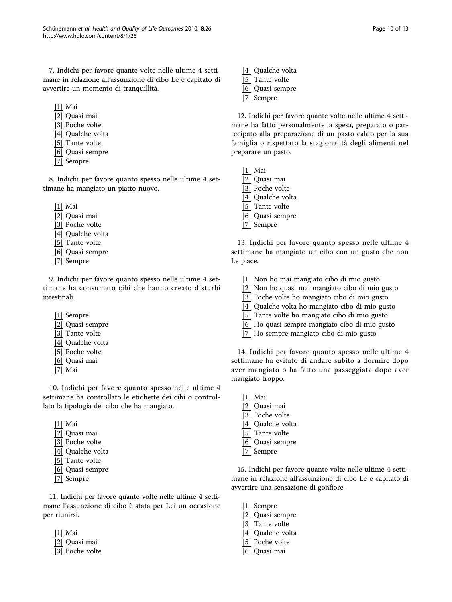7. Indichi per favore quante volte nelle ultime 4 settimane in relazione all'assunzione di cibo Le è capitato di avvertire un momento di tranquillità.

- |1| Mai
- |2| Quasi mai
- |3| Poche volte
- |4| Qualche volta
- |5| Tante volte
- |6| Quasi sempre
- |7| Sempre

8. Indichi per favore quanto spesso nelle ultime 4 settimane ha mangiato un piatto nuovo.

- |1| Mai
- |2| Quasi mai
- |3| Poche volte
- |4| Qualche volta
- |5| Tante volte
- |6| Quasi sempre
- |7| Sempre

9. Indichi per favore quanto spesso nelle ultime 4 settimane ha consumato cibi che hanno creato disturbi intestinali.

- |1| Sempre
- |2| Quasi sempre
- |3| Tante volte
- |4| Qualche volta
- |5| Poche volte
- |6| Quasi mai
- |7| Mai

10. Indichi per favore quanto spesso nelle ultime 4 settimane ha controllato le etichette dei cibi o controllato la tipologia del cibo che ha mangiato.

- |1| Mai
- |2| Quasi mai
- |3| Poche volte
- |4| Qualche volta
- |5| Tante volte
- |6| Quasi sempre
- |7| Sempre

11. Indichi per favore quante volte nelle ultime 4 settimane l'assunzione di cibo è stata per Lei un occasione per riunirsi.

- |1| Mai
- |2| Quasi mai
- |3| Poche volte
- |4| Qualche volta |5| Tante volte |6| Quasi sempre
- |7| Sempre

12. Indichi per favore quante volte nelle ultime 4 settimane ha fatto personalmente la spesa, preparato o partecipato alla preparazione di un pasto caldo per la sua famiglia o rispettato la stagionalità degli alimenti nel preparare un pasto.

|1| Mai |2| Quasi mai |3| Poche volte |4| Qualche volta |5| Tante volte |6| Quasi sempre |7| Sempre

13. Indichi per favore quanto spesso nelle ultime 4 settimane ha mangiato un cibo con un gusto che non Le piace.

- |1| Non ho mai mangiato cibo di mio gusto
- |2| Non ho quasi mai mangiato cibo di mio gusto
- |3| Poche volte ho mangiato cibo di mio gusto
- |4| Qualche volta ho mangiato cibo di mio gusto
- |5| Tante volte ho mangiato cibo di mio gusto
- |6| Ho quasi sempre mangiato cibo di mio gusto
- |7| Ho sempre mangiato cibo di mio gusto

14. Indichi per favore quanto spesso nelle ultime 4 settimane ha evitato di andare subito a dormire dopo aver mangiato o ha fatto una passeggiata dopo aver mangiato troppo.

|1| Mai |2| Quasi mai |3| Poche volte |4| Qualche volta |5| Tante volte |6| Quasi sempre |7| Sempre

15. Indichi per favore quante volte nelle ultime 4 settimane in relazione all'assunzione di cibo Le è capitato di avvertire una sensazione di gonfiore.

- |1| Sempre |2| Quasi sempre |3| Tante volte
- |4| Qualche volta
- |5| Poche volte
- |6| Quasi mai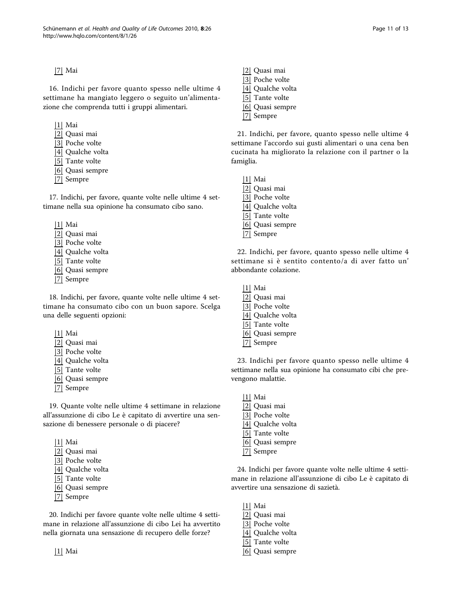# |7| Mai

16. Indichi per favore quanto spesso nelle ultime 4 settimane ha mangiato leggero o seguito un'alimentazione che comprenda tutti i gruppi alimentari.

- |1| Mai
- |2| Quasi mai
- |3| Poche volte
- |4| Qualche volta
- |5| Tante volte
- |6| Quasi sempre
- |7| Sempre

17. Indichi, per favore, quante volte nelle ultime 4 settimane nella sua opinione ha consumato cibo sano.

- |1| Mai
- |2| Quasi mai
- |3| Poche volte
- |4| Qualche volta
- |5| Tante volte
- |6| Quasi sempre
- |7| Sempre

18. Indichi, per favore, quante volte nelle ultime 4 settimane ha consumato cibo con un buon sapore. Scelga una delle seguenti opzioni:

- |1| Mai
- |2| Quasi mai
- |3| Poche volte
- |4| Qualche volta
- |5| Tante volte
- |6| Quasi sempre
- |7| Sempre

19. Quante volte nelle ultime 4 settimane in relazione all'assunzione di cibo Le è capitato di avvertire una sensazione di benessere personale o di piacere?

- |1| Mai
- |2| Quasi mai
- |3| Poche volte
- |4| Qualche volta
- |5| Tante volte
- |6| Quasi sempre
- |7| Sempre

20. Indichi per favore quante volte nelle ultime 4 settimane in relazione all'assunzione di cibo Lei ha avvertito nella giornata una sensazione di recupero delle forze?

|1| Mai

|2| Quasi mai |3| Poche volte |4| Qualche volta |5| Tante volte |6| Quasi sempre |7| Sempre

21. Indichi, per favore, quanto spesso nelle ultime 4 settimane l'accordo sui gusti alimentari o una cena ben cucinata ha migliorato la relazione con il partner o la famiglia.

|1| Mai |2| Quasi mai |3| Poche volte |4| Qualche volta |5| Tante volte |6| Quasi sempre |7| Sempre

22. Indichi, per favore, quanto spesso nelle ultime 4 settimane si è sentito contento/a di aver fatto un' abbondante colazione.

|1| Mai |2| Quasi mai |3| Poche volte |4| Qualche volta |5| Tante volte |6| Quasi sempre |7| Sempre

23. Indichi per favore quanto spesso nelle ultime 4 settimane nella sua opinione ha consumato cibi che prevengono malattie.

|1| Mai |2| Quasi mai |3| Poche volte |4| Qualche volta |5| Tante volte |6| Quasi sempre |7| Sempre

24. Indichi per favore quante volte nelle ultime 4 settimane in relazione all'assunzione di cibo Le è capitato di avvertire una sensazione di sazietà.

- |1| Mai |2| Quasi mai |3| Poche volte |4| Qualche volta
- |5| Tante volte
- |6| Quasi sempre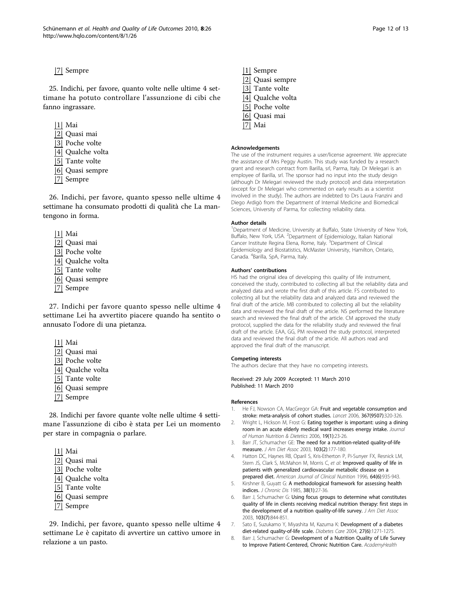# <span id="page-11-0"></span>|7| Sempre

25. Indichi, per favore, quanto volte nelle ultime 4 settimane ha potuto controllare l'assunzione di cibi che fanno ingrassare.

|1| Mai

- |2| Quasi mai
- |3| Poche volte
- |4| Qualche volta
- |5| Tante volte
- |6| Quasi sempre
- |7| Sempre

26. Indichi, per favore, quanto spesso nelle ultime 4 settimane ha consumato prodotti di qualità che La mantengono in forma.

|1| Mai

- |2| Quasi mai
- |3| Poche volte
- |4| Qualche volta
- |5| Tante volte
- |6| Quasi sempre
- |7| Sempre

27. Indichi per favore quanto spesso nelle ultime 4 settimane Lei ha avvertito piacere quando ha sentito o annusato l'odore di una pietanza.

- |1| Mai
- |2| Quasi mai
- |3| Poche volte
- |4| Qualche volta
- |5| Tante volte
- |6| Quasi sempre
- |7| Sempre

28. Indichi per favore quante volte nelle ultime 4 settimane l'assunzione di cibo è stata per Lei un momento per stare in compagnia o parlare.

|  | IVI A1 |
|--|--------|
|  |        |

- |2| Quasi mai
- |3| Poche volte
- |4| Qualche volta
- |5| Tante volte
- |6| Quasi sempre
- |7| Sempre

29. Indichi, per favore, quanto spesso nelle ultime 4 settimane Le è capitato di avvertire un cattivo umore in relazione a un pasto.

|1| Sempre |2| Quasi sempre |3| Tante volte |4| Qualche volta |5| Poche volte |6| Quasi mai |7| Mai

#### Acknowledgements

The use of the instrument requires a user/license agreement. We appreciate the assistance of Mrs Peggy Austin. This study was funded by a research grant and research contract from Barilla, srl, Parma, Italy. Dr Melegari is an employee of Barilla, srl. The sponsor had no input into the study design (although Dr Melegari reviewed the study protocol) and data interpretation (except for Dr Melegari who commented on early results as a scientist involved in the study). The authors are indebted to Drs Laura Franzini and Diego Ardigò from the Department of Internal Medicine and Biomedical Sciences, University of Parma, for collecting reliability data.

#### Author details

<sup>1</sup>Department of Medicine, University at Buffalo, State University of New York Buffalo, New York, USA. <sup>2</sup>Department of Epidemiology, Italian National Cancer Institute Regina Elena, Rome, Italy. <sup>3</sup>Department of Clinical Epidemiology and Biostatistics, McMaster University, Hamilton, Ontario, Canada. <sup>4</sup>Barilla, SpA, Parma, Italy.

#### Authors' contributions

HS had the original idea of developing this quality of life instrument, conceived the study, contributed to collecting all but the reliability data and analyzed data and wrote the first draft of this article. FS contributed to collecting all but the reliability data and analyzed data and reviewed the final draft of the article. MB contributed to collecting all but the reliability data and reviewed the final draft of the article. NS performed the literature search and reviewed the final draft of the article. CM approved the study protocol, supplied the data for the reliability study and reviewed the final draft of the article. EAA, GG, PM reviewed the study protocol, interpreted data and reviewed the final draft of the article. All authors read and approved the final draft of the manuscript.

#### Competing interests

The authors declare that they have no competing interests.

Received: 29 July 2009 Accepted: 11 March 2010 Published: 11 March 2010

#### References

- He FJ, Nowson CA, MacGregor GA: [Fruit and vegetable consumption and](http://www.ncbi.nlm.nih.gov/pubmed/16443039?dopt=Abstract) [stroke: meta-analysis of cohort studies.](http://www.ncbi.nlm.nih.gov/pubmed/16443039?dopt=Abstract) Lancet 2006, 367(9507):320-326.
- 2. Wright L, Hickson M, Frost G: Eating together is important: using a dining room in an acute elderly medical ward increases energy intake. Journal of Human Nutrition & Dietetics 2006, 19(1):23-26.
- 3. Barr JT, Schumacher GE: [The need for a nutrition-related quality-of-life](http://www.ncbi.nlm.nih.gov/pubmed/12589322?dopt=Abstract) [measure.](http://www.ncbi.nlm.nih.gov/pubmed/12589322?dopt=Abstract) J Am Diet Assoc 2003, 103(2):177-180.
- 4. Hatton DC, Haynes RB, Oparil S, Kris-Etherton P, Pi-Sunyer FX, Resnick LM, Stern JS, Clark S, McMahon M, Morris C, et al: [Improved quality of life in](http://www.ncbi.nlm.nih.gov/pubmed/8942420?dopt=Abstract) [patients with generalized cardiovascular metabolic disease on a](http://www.ncbi.nlm.nih.gov/pubmed/8942420?dopt=Abstract) [prepared diet.](http://www.ncbi.nlm.nih.gov/pubmed/8942420?dopt=Abstract) American Journal of Clinical Nutrition 1996, 64(6):935-943.
- 5. Kirshner B, Guyatt G: [A methodological framework for assessing health](http://www.ncbi.nlm.nih.gov/pubmed/3972947?dopt=Abstract) [indices.](http://www.ncbi.nlm.nih.gov/pubmed/3972947?dopt=Abstract) J Chronic Dis 1985, 38(1):27-36.
- 6. Barr J, Schumacher G: [Using focus groups to determine what constitutes](http://www.ncbi.nlm.nih.gov/pubmed/12830022?dopt=Abstract) [quality of life in clients receiving medical nutrition therapy: first steps in](http://www.ncbi.nlm.nih.gov/pubmed/12830022?dopt=Abstract) [the development of a nutrition quality-of-life survey.](http://www.ncbi.nlm.nih.gov/pubmed/12830022?dopt=Abstract) J Am Diet Assoc 2003, 103(7):844-851.
- 7. Sato E, Suzukamo Y, Miyashita M, Kazuma K: [Development of a diabetes](http://www.ncbi.nlm.nih.gov/pubmed/15161774?dopt=Abstract) [diet-related quality-of-life scale.](http://www.ncbi.nlm.nih.gov/pubmed/15161774?dopt=Abstract) Diabetes Care 2004, 27(6):1271-1275.
- 8. Barr J, Schumacher G: Development of a Nutrition Quality of Life Survey to Improve Patient-Centered, Chronic Nutrition Care. AcademyHealth